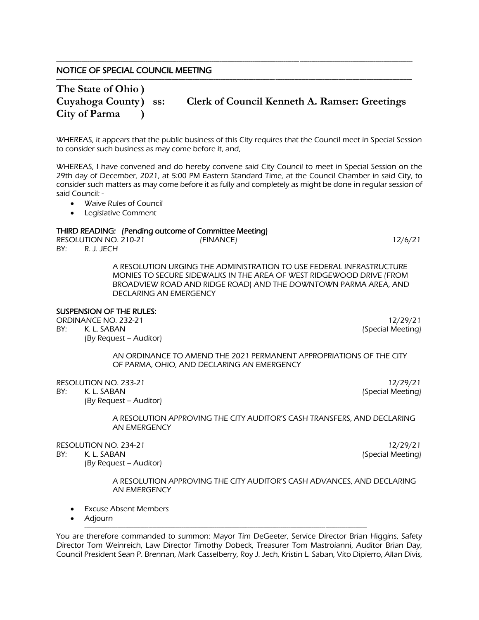# NOTICE OF SPECIAL COUNCIL MEETING

# **The State of Ohio ) City of Parma )**

# **Cuyahoga County) ss: Clerk of Council Kenneth A. Ramser: Greetings**

WHEREAS, it appears that the public business of this City requires that the Council meet in Special Session to consider such business as may come before it, and,

---------------------------------------------------------------------------------------------------------------------------------------------------------------------------------------

-----------------------------------------------------------------------------------------------------------------------------------------------------------------------------------------------------------

WHEREAS, I have convened and do hereby convene said City Council to meet in Special Session on the 29th day of December, 2021, at 5:00 PM Eastern Standard Time, at the Council Chamber in said City, to consider such matters as may come before it as fully and completely as might be done in regular session of said Council: -

- Waive Rules of Council
- Legislative Comment

## THIRD READING: (Pending outcome of Committee Meeting)

RESOLUTION NO. 210-21 (FINANCE) 12/6/21 BY: R. J. JECH

A RESOLUTION URGING THE ADMINISTRATION TO USE FEDERAL INFRASTRUCTURE MONIES TO SECURE SIDEWALKS IN THE AREA OF WEST RIDGEWOOD DRIVE (FROM BROADVIEW ROAD AND RIDGE ROAD) AND THE DOWNTOWN PARMA AREA, AND DECLARING AN EMERGENCY

### SUSPENSION OF THE RULES:

ORDINANCE NO. 232-21 12/29/21 12/29/21

(By Request – Auditor)

BY: K. L. SABAN (Special Meeting)

AN ORDINANCE TO AMEND THE 2021 PERMANENT APPROPRIATIONS OF THE CITY OF PARMA, OHIO, AND DECLARING AN EMERGENCY

RESOLUTION NO. 233-21 12/29/21 12/29/21

BY: K. L. SABAN (Special Meeting)

(By Request – Auditor)

A RESOLUTION APPROVING THE CITY AUDITOR'S CASH TRANSFERS, AND DECLARING AN EMERGENCY

RESOLUTION NO. 234-21 12/29/21 12/29/21

BY: K. L. SABAN (Special Meeting)

(By Request – Auditor)

A RESOLUTION APPROVING THE CITY AUDITOR'S CASH ADVANCES, AND DECLARING AN EMERGENCY

- **Excuse Absent Members**
- Adjourn

You are therefore commanded to summon: Mayor Tim DeGeeter, Service Director Brian Higgins, Safety Director Tom Weinreich, Law Director Timothy Dobeck, Treasurer Tom Mastroianni, Auditor Brian Day, Council President Sean P. Brennan, Mark Casselberry, Roy J. Jech, Kristin L. Saban, Vito Dipierro, Allan Divis,

-------------------------------------------------------------------------------------------------------------------------------------------------